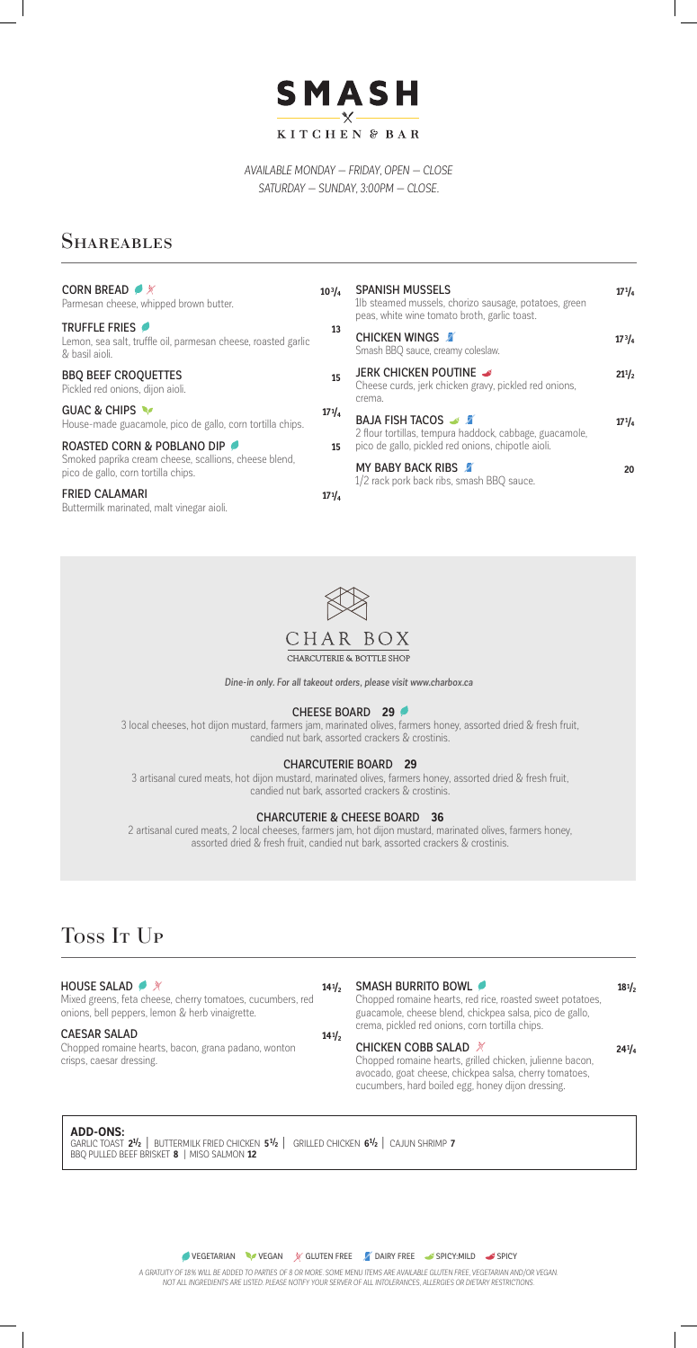*A GRATUITY OF 18% WILL BE ADDED TO PARTIES OF 8 OR MORE. SOME MENU ITEMS ARE AVAILABLE GLUTEN FREE, VEGETARIAN AND/OR VEGAN. NOT ALL INGREDIENTS ARE LISTED. PLEASE NOTIFY YOUR SERVER OF ALL INTOLERANCES, ALLERGIES OR DIETARY RESTRICTIONS.*



*AVAILABLE MONDAY — FRIDAY, OPEN — CLOSE SATURDAY — SUNDAY, 3:00PM — CLOSE.*

# **SHAREABLES**

## CHEESE BOARD **29**

3 local cheeses, hot dijon mustard, farmers jam, marinated olives, farmers honey, assorted dried & fresh fruit, candied nut bark, assorted crackers & crostinis.

## CHARCUTERIE BOARD **29**

3 artisanal cured meats, hot dijon mustard, marinated olives, farmers honey, assorted dried & fresh fruit, candied nut bark, assorted crackers & crostinis.

## CHARCUTERIE & CHEESE BOARD **36**

 $141/2$ 

2 artisanal cured meats, 2 local cheeses, farmers jam, hot dijon mustard, marinated olives, farmers honey, assorted dried & fresh fruit, candied nut bark, assorted crackers & crostinis.

# Toss It Up

## **HOUSE SALAD**

*Dine-in only. For all takeout orders, please visit www.charbox.ca*

### **141/2** SMASH BURRITO BOWL

| <b>CORN BREAD ● ※</b><br>Parmesan cheese, whipped brown butter.                                  | $10^{3}/_{4}$ | <b>SPANISH MUSSELS</b><br>1b steamed mussels, chorizo sausage, potatoes, green<br>peas, white wine tomato broth, garlic toast.<br><b>CHICKEN WINGS</b><br>Smash BBQ sauce, creamy coleslaw. | $17^{1}/_{4}$ |
|--------------------------------------------------------------------------------------------------|---------------|---------------------------------------------------------------------------------------------------------------------------------------------------------------------------------------------|---------------|
| TRUFFLE FRIES<br>Lemon, sea salt, truffle oil, parmesan cheese, roasted garlic<br>& basil aioli. | 13            |                                                                                                                                                                                             | $17^{3}/_{4}$ |
| <b>BBQ BEEF CROQUETTES</b><br>Pickled red onions, dijon aioli.                                   | 15            | JERK CHICKEN POUTINE<br>Cheese curds, jerk chicken gravy, pickled red onions,<br>crema.<br><b>BAJA FISH TACOS</b> & X<br>2 flour tortillas, tempura haddock, cabbage, guacamole,            | $21^{1/2}$    |
| GUAC & CHIPS<br>House-made guacamole, pico de gallo, corn tortilla chips.                        | $17^{1}/_{4}$ |                                                                                                                                                                                             | $17^{1}/_{4}$ |
| ROASTED CORN & POBLANO DIP                                                                       | 15            | pico de gallo, pickled red onions, chipotle aioli.                                                                                                                                          |               |
| Smoked paprika cream cheese, scallions, cheese blend,<br>pico de gallo, corn tortilla chips.     |               | <b>MY BABY BACK RIBS</b><br>1/2 rack pork back ribs, smash BBQ sauce.                                                                                                                       | 20            |
| <b>FRIED CALAMARI</b><br>Buttermilk marinated, malt vinegar aioli.                               | $17^{1}/_{4}$ |                                                                                                                                                                                             |               |



Mixed greens, feta cheese, cherry tomatoes, cucumbers, red onions, bell peppers, lemon & herb vinaigrette.

## CAESAR SALAD

Chopped romaine hearts, bacon, grana padano, wonton crisps, caesar dressing.

**ADD-ONS:** GARLIC TOAST **21/2** | BUTTERMILK FRIED CHICKEN **51/2** | GRILLED CHICKEN **61/2** | CAJUN SHRIMP **7**  BBQ PULLED BEEF BRISKET **8** |MISO SALMON **12**

**VEGETARIAN VEGAN X GLUTEN FREE ZO DAIRY FREE SPICY:MILD SPICY** 

Chopped romaine hearts, red rice, roasted sweet potatoes, guacamole, cheese blend, chickpea salsa, pico de gallo, crema, pickled red onions, corn tortilla chips.

## CHICKEN COBB SALAD **<del>X</del>**

**181/2**

Chopped romaine hearts, grilled chicken, julienne bacon, avocado, goat cheese, chickpea salsa, cherry tomatoes, cucumbers, hard boiled egg, honey dijon dressing.

**241/4**